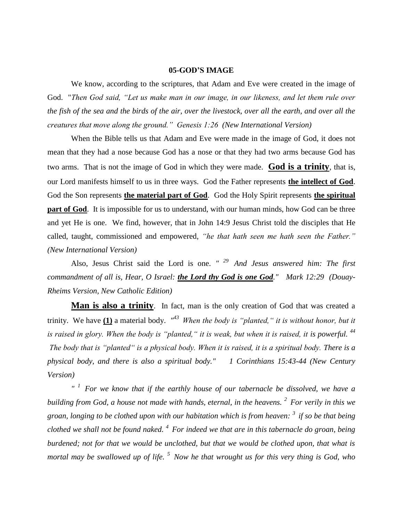## **05-GOD'S IMAGE**

We know, according to the scriptures, that Adam and Eve were created in the image of God. "*Then God said, "Let us make man in our image, in our likeness, and let them rule over the fish of the sea and the birds of the air, over the livestock, over all the earth, and over all the creatures that move along the ground." Genesis 1:26 (New International Version)* 

When the Bible tells us that Adam and Eve were made in the image of God, it does not mean that they had a nose because God has a nose or that they had two arms because God has two arms. That is not the image of God in which they were made. **God is a trinity**, that is, our Lord manifests himself to us in three ways. God the Father represents **the intellect of God**. God the Son represents **the material part of God**. God the Holy Spirit represents **the spiritual part of God**. It is impossible for us to understand, with our human minds, how God can be three and yet He is one. We find, however, that in John 14:9 Jesus Christ told the disciples that He called, taught, commissioned and empowered, *"he that hath seen me hath seen the Father." (New International Version)* 

Also, Jesus Christ said the Lord is one. *" <sup>29</sup>And Jesus answered him: The first commandment of all is, Hear, O Israel: the Lord thy God is one God." Mark 12:29 (Douay-Rheims Version, New Catholic Edition)*

**Man is also a trinity**. In fact, man is the only creation of God that was created a trinity. We have  $(1)$  a material body.  $\mathbb{R}^{3}$  *When the body is "planted," it is without honor, but it is raised in glory. When the body is "planted," it is weak, but when it is raised, it is powerful.* <sup>44</sup> *The body that is "planted" is a physical body. When it is raised, it is a spiritual body. There is a physical body, and there is also a spiritual body." 1 Corinthians 15:43-44 (New Century Version)*

*" <sup>1</sup>For we know that if the earthly house of our tabernacle be dissolved, we have a building from God, a house not made with hands, eternal, in the heavens. <sup>2</sup>For verily in this we groan, longing to be clothed upon with our habitation which is from heaven: <sup>3</sup>if so be that being clothed we shall not be found naked. <sup>4</sup>For indeed we that are in this tabernacle do groan, being burdened; not for that we would be unclothed, but that we would be clothed upon, that what is mortal may be swallowed up of life. <sup>5</sup>Now he that wrought us for this very thing is God, who*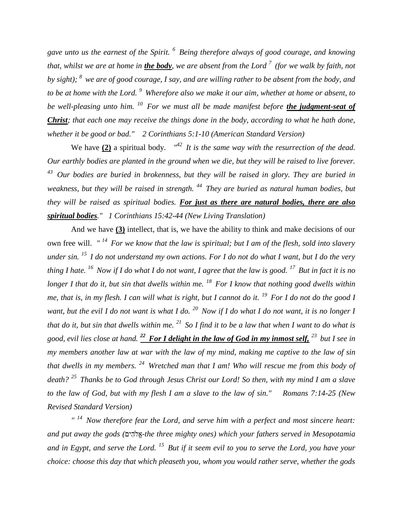*gave unto us the earnest of the Spirit. <sup>6</sup>Being therefore always of good courage, and knowing that, whilst we are at home in the body, we are absent from the Lord <sup>7</sup>(for we walk by faith, not by sight); <sup>8</sup>we are of good courage, I say, and are willing rather to be absent from the body, and to be at home with the Lord. <sup>9</sup>Wherefore also we make it our aim, whether at home or absent, to be well-pleasing unto him. <sup>10</sup>For we must all be made manifest before the judgment-seat of Christ; that each one may receive the things done in the body, according to what he hath done, whether it be good or bad." 2 Corinthians 5:1-10 (American Standard Version)*

We have  $(2)$  a spiritual body.  $^{\prime\prime2}$  *It is the same way with the resurrection of the dead. Our earthly bodies are planted in the ground when we die, but they will be raised to live forever. <sup>43</sup>Our bodies are buried in brokenness, but they will be raised in glory. They are buried in weakness, but they will be raised in strength. <sup>44</sup>They are buried as natural human bodies, but they will be raised as spiritual bodies. For just as there are natural bodies, there are also spiritual bodies." 1 Corinthians 15:42-44 (New Living Translation)*

And we have **(3)** intellect, that is, we have the ability to think and make decisions of our own free will. *" <sup>14</sup>For we know that the law is spiritual; but I am of the flesh, sold into slavery under sin. <sup>15</sup>I do not understand my own actions. For I do not do what I want, but I do the very thing I hate. <sup>16</sup>Now if I do what I do not want, I agree that the law is good. <sup>17</sup>But in fact it is no longer I that do it, but sin that dwells within me. <sup>18</sup>For I know that nothing good dwells within me, that is, in my flesh. I can will what is right, but I cannot do it. <sup>19</sup>For I do not do the good I want, but the evil I do not want is what I do. <sup>20</sup>Now if I do what I do not want, it is no longer I that do it, but sin that dwells within me. <sup>21</sup>So I find it to be a law that when I want to do what is good, evil lies close at hand. <sup>22</sup>For I delight in the law of God in my inmost self, <sup>23</sup>but I see in my members another law at war with the law of my mind, making me captive to the law of sin that dwells in my members. <sup>24</sup>Wretched man that I am! Who will rescue me from this body of death? <sup>25</sup>Thanks be to God through Jesus Christ our Lord! So then, with my mind I am a slave to the law of God, but with my flesh I am a slave to the law of sin." Romans 7:14-25 (New Revised Standard Version)*

*" <sup>14</sup>Now therefore fear the Lord, and serve him with a perfect and most sincere heart: and put away the gods (* -*the three mighty ones) which your fathers served in Mesopotamia and in Egypt, and serve the Lord. <sup>15</sup>But if it seem evil to you to serve the Lord, you have your choice: choose this day that which pleaseth you, whom you would rather serve, whether the gods*